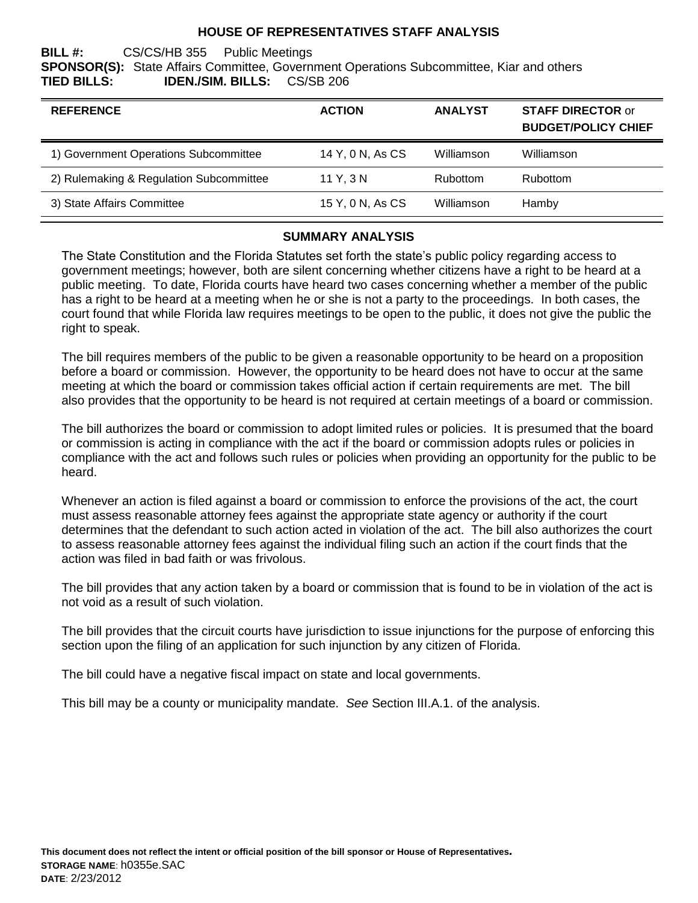## **HOUSE OF REPRESENTATIVES STAFF ANALYSIS**

### **BILL #:** CS/CS/HB 355 Public Meetings **SPONSOR(S):** State Affairs Committee, Government Operations Subcommittee, Kiar and others **TIED BILLS: IDEN./SIM. BILLS:** CS/SB 206

| <b>REFERENCE</b>                        | <b>ACTION</b>    | <b>ANALYST</b> | <b>STAFF DIRECTOR or</b><br><b>BUDGET/POLICY CHIEF</b> |
|-----------------------------------------|------------------|----------------|--------------------------------------------------------|
| 1) Government Operations Subcommittee   | 14 Y, 0 N, As CS | Williamson     | Williamson                                             |
| 2) Rulemaking & Regulation Subcommittee | 11 Y. 3 N        | Rubottom       | <b>Rubottom</b>                                        |
| 3) State Affairs Committee              | 15 Y, 0 N, As CS | Williamson     | Hamby                                                  |

#### **SUMMARY ANALYSIS**

The State Constitution and the Florida Statutes set forth the state's public policy regarding access to government meetings; however, both are silent concerning whether citizens have a right to be heard at a public meeting. To date, Florida courts have heard two cases concerning whether a member of the public has a right to be heard at a meeting when he or she is not a party to the proceedings. In both cases, the court found that while Florida law requires meetings to be open to the public, it does not give the public the right to speak.

The bill requires members of the public to be given a reasonable opportunity to be heard on a proposition before a board or commission. However, the opportunity to be heard does not have to occur at the same meeting at which the board or commission takes official action if certain requirements are met. The bill also provides that the opportunity to be heard is not required at certain meetings of a board or commission.

The bill authorizes the board or commission to adopt limited rules or policies. It is presumed that the board or commission is acting in compliance with the act if the board or commission adopts rules or policies in compliance with the act and follows such rules or policies when providing an opportunity for the public to be heard.

Whenever an action is filed against a board or commission to enforce the provisions of the act, the court must assess reasonable attorney fees against the appropriate state agency or authority if the court determines that the defendant to such action acted in violation of the act. The bill also authorizes the court to assess reasonable attorney fees against the individual filing such an action if the court finds that the action was filed in bad faith or was frivolous.

The bill provides that any action taken by a board or commission that is found to be in violation of the act is not void as a result of such violation.

The bill provides that the circuit courts have jurisdiction to issue injunctions for the purpose of enforcing this section upon the filing of an application for such injunction by any citizen of Florida.

The bill could have a negative fiscal impact on state and local governments.

This bill may be a county or municipality mandate. *See* Section III.A.1. of the analysis.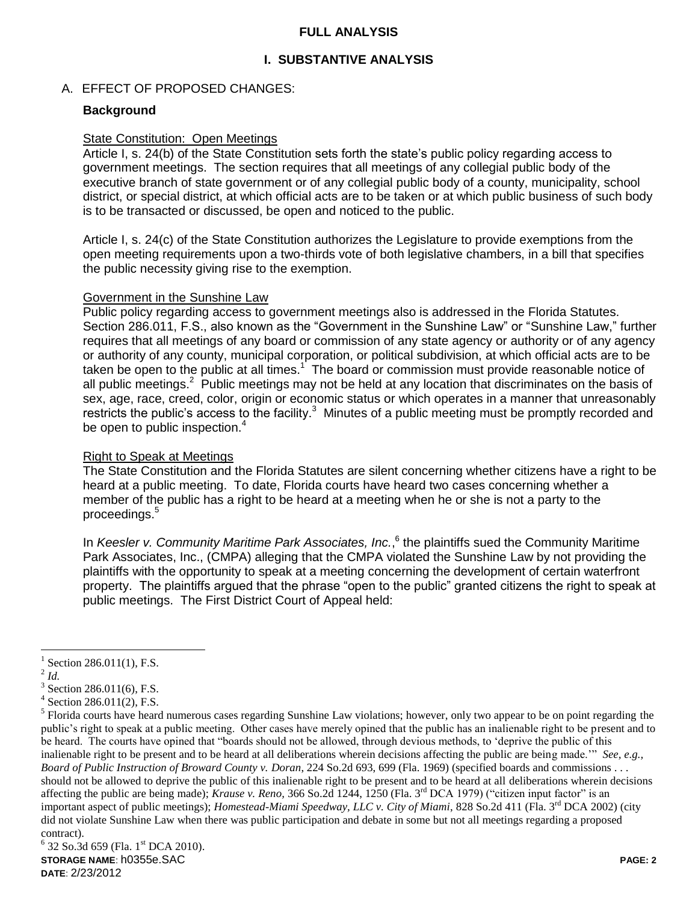## **FULL ANALYSIS**

## **I. SUBSTANTIVE ANALYSIS**

## A. EFFECT OF PROPOSED CHANGES:

## **Background**

### State Constitution: Open Meetings

Article I, s. 24(b) of the State Constitution sets forth the state's public policy regarding access to government meetings. The section requires that all meetings of any collegial public body of the executive branch of state government or of any collegial public body of a county, municipality, school district, or special district, at which official acts are to be taken or at which public business of such body is to be transacted or discussed, be open and noticed to the public.

Article I, s. 24(c) of the State Constitution authorizes the Legislature to provide exemptions from the open meeting requirements upon a two-thirds vote of both legislative chambers, in a bill that specifies the public necessity giving rise to the exemption.

#### Government in the Sunshine Law

Public policy regarding access to government meetings also is addressed in the Florida Statutes. Section 286.011, F.S., also known as the "Government in the Sunshine Law" or "Sunshine Law," further requires that all meetings of any board or commission of any state agency or authority or of any agency or authority of any county, municipal corporation, or political subdivision, at which official acts are to be taken be open to the public at all times.<sup>1</sup> The board or commission must provide reasonable notice of all public meetings.<sup>2</sup> Public meetings may not be held at any location that discriminates on the basis of sex, age, race, creed, color, origin or economic status or which operates in a manner that unreasonably restricts the public's access to the facility. $3$  Minutes of a public meeting must be promptly recorded and be open to public inspection.<sup>4</sup>

### Right to Speak at Meetings

The State Constitution and the Florida Statutes are silent concerning whether citizens have a right to be heard at a public meeting. To date, Florida courts have heard two cases concerning whether a member of the public has a right to be heard at a meeting when he or she is not a party to the proceedings.<sup>5</sup>

In *Keesler v. Community Maritime Park Associates, Inc.*,<sup>6</sup> the plaintiffs sued the Community Maritime Park Associates, Inc., (CMPA) alleging that the CMPA violated the Sunshine Law by not providing the plaintiffs with the opportunity to speak at a meeting concerning the development of certain waterfront property. The plaintiffs argued that the phrase "open to the public" granted citizens the right to speak at public meetings. The First District Court of Appeal held:

 $\overline{a}$ 

<sup>1</sup> Section 286.011(1), F.S.

<sup>2</sup> *Id.*

 $3$  Section 286.011(6), F.S.

<sup>4</sup> Section 286.011(2), F.S.

<sup>&</sup>lt;sup>5</sup> Florida courts have heard numerous cases regarding Sunshine Law violations; however, only two appear to be on point regarding the public"s right to speak at a public meeting. Other cases have merely opined that the public has an inalienable right to be present and to be heard. The courts have opined that "boards should not be allowed, through devious methods, to "deprive the public of this inalienable right to be present and to be heard at all deliberations wherein decisions affecting the public are being made."" *See, e.g., Board of Public Instruction of Broward County v. Doran*, 224 So.2d 693, 699 (Fla. 1969) (specified boards and commissions . . . should not be allowed to deprive the public of this inalienable right to be present and to be heard at all deliberations wherein decisions affecting the public are being made); *Krause v. Reno*, 366 So.2d 1244, 1250 (Fla. 3<sup>rd</sup> DCA 1979) ("citizen input factor" is an important aspect of public meetings); *Homestead-Miami Speedway, LLC v. City of Miami*, 828 So.2d 411 (Fla. 3<sup>rd</sup> DCA 2002) (city did not violate Sunshine Law when there was public participation and debate in some but not all meetings regarding a proposed contract).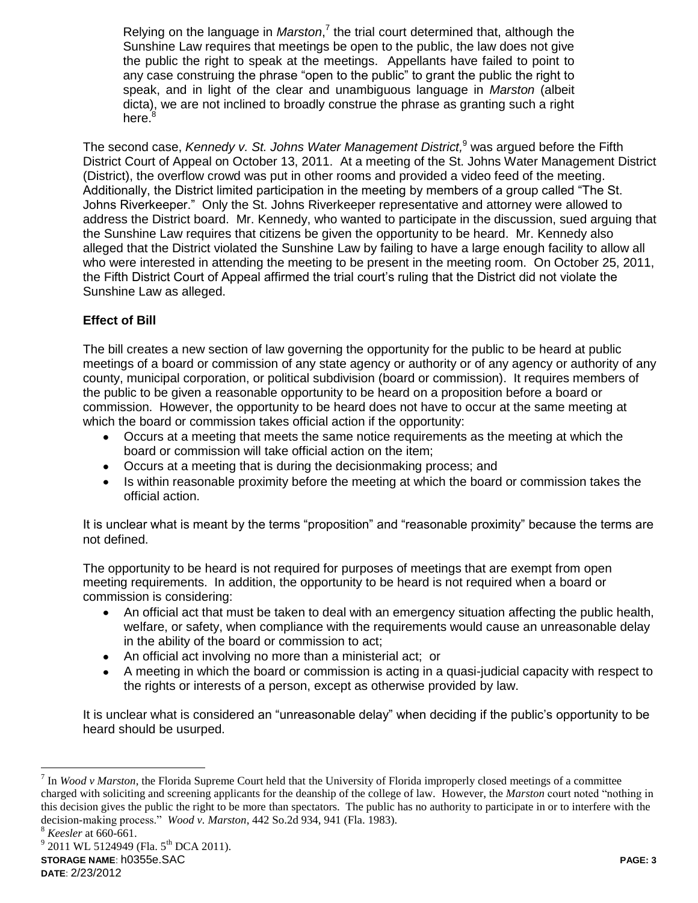Relying on the language in *Marston*,<sup>7</sup> the trial court determined that, although the Sunshine Law requires that meetings be open to the public, the law does not give the public the right to speak at the meetings. Appellants have failed to point to any case construing the phrase "open to the public" to grant the public the right to speak, and in light of the clear and unambiguous language in *Marston* (albeit dicta), we are not inclined to broadly construe the phrase as granting such a right here.<sup>8</sup>

The second case, *Kennedy v. St. Johns Water Management District,* <sup>9</sup> was argued before the Fifth District Court of Appeal on October 13, 2011. At a meeting of the St. Johns Water Management District (District), the overflow crowd was put in other rooms and provided a video feed of the meeting. Additionally, the District limited participation in the meeting by members of a group called "The St. Johns Riverkeeper." Only the St. Johns Riverkeeper representative and attorney were allowed to address the District board. Mr. Kennedy, who wanted to participate in the discussion, sued arguing that the Sunshine Law requires that citizens be given the opportunity to be heard. Mr. Kennedy also alleged that the District violated the Sunshine Law by failing to have a large enough facility to allow all who were interested in attending the meeting to be present in the meeting room. On October 25, 2011, the Fifth District Court of Appeal affirmed the trial court's ruling that the District did not violate the Sunshine Law as alleged.

# **Effect of Bill**

The bill creates a new section of law governing the opportunity for the public to be heard at public meetings of a board or commission of any state agency or authority or of any agency or authority of any county, municipal corporation, or political subdivision (board or commission). It requires members of the public to be given a reasonable opportunity to be heard on a proposition before a board or commission. However, the opportunity to be heard does not have to occur at the same meeting at which the board or commission takes official action if the opportunity:

- Occurs at a meeting that meets the same notice requirements as the meeting at which the board or commission will take official action on the item;
- Occurs at a meeting that is during the decisionmaking process; and
- Is within reasonable proximity before the meeting at which the board or commission takes the official action.

It is unclear what is meant by the terms "proposition" and "reasonable proximity" because the terms are not defined.

The opportunity to be heard is not required for purposes of meetings that are exempt from open meeting requirements. In addition, the opportunity to be heard is not required when a board or commission is considering:

- An official act that must be taken to deal with an emergency situation affecting the public health, welfare, or safety, when compliance with the requirements would cause an unreasonable delay in the ability of the board or commission to act;
- An official act involving no more than a ministerial act; or
- A meeting in which the board or commission is acting in a quasi-judicial capacity with respect to the rights or interests of a person, except as otherwise provided by law.

It is unclear what is considered an "unreasonable delay" when deciding if the public's opportunity to be heard should be usurped.

 $\overline{a}$ 

 $^7$  In *Wood v Marston*, the Florida Supreme Court held that the University of Florida improperly closed meetings of a committee charged with soliciting and screening applicants for the deanship of the college of law. However, the *Marston* court noted "nothing in this decision gives the public the right to be more than spectators. The public has no authority to participate in or to interfere with the decision-making process." *Wood v. Marston*, 442 So.2d 934, 941 (Fla. 1983).

<sup>8</sup> *Keesler* at 660-661.

**STORAGE NAME**: h0355e.SAC **PAGE: 3** <sup>9</sup> 2011 WL 5124949 (Fla. 5<sup>th</sup> DCA 2011).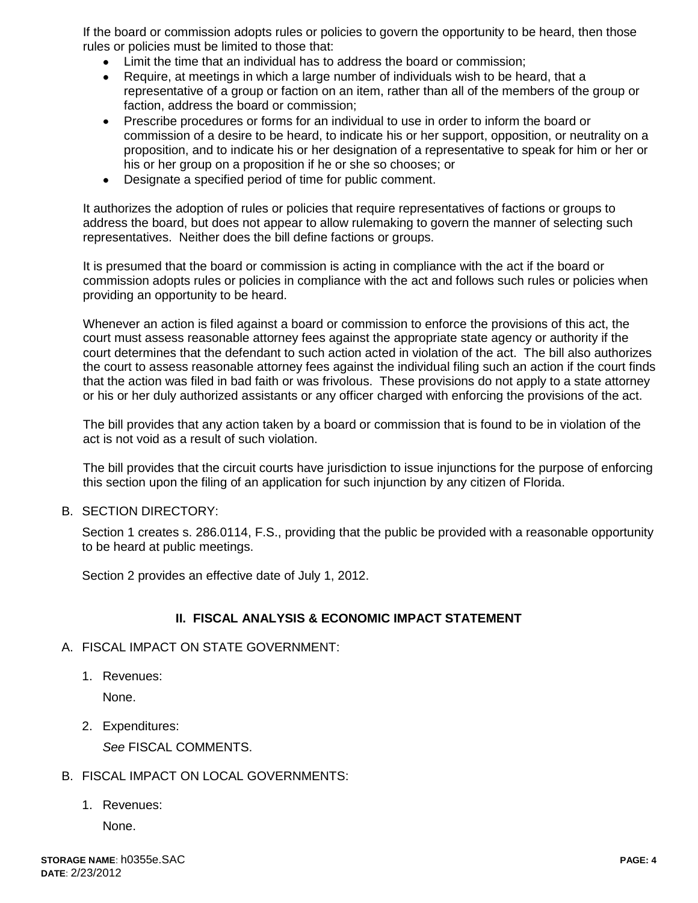If the board or commission adopts rules or policies to govern the opportunity to be heard, then those rules or policies must be limited to those that:

- Limit the time that an individual has to address the board or commission;
- Require, at meetings in which a large number of individuals wish to be heard, that a representative of a group or faction on an item, rather than all of the members of the group or faction, address the board or commission;
- Prescribe procedures or forms for an individual to use in order to inform the board or  $\bullet$ commission of a desire to be heard, to indicate his or her support, opposition, or neutrality on a proposition, and to indicate his or her designation of a representative to speak for him or her or his or her group on a proposition if he or she so chooses; or
- Designate a specified period of time for public comment.

It authorizes the adoption of rules or policies that require representatives of factions or groups to address the board, but does not appear to allow rulemaking to govern the manner of selecting such representatives. Neither does the bill define factions or groups.

It is presumed that the board or commission is acting in compliance with the act if the board or commission adopts rules or policies in compliance with the act and follows such rules or policies when providing an opportunity to be heard.

Whenever an action is filed against a board or commission to enforce the provisions of this act, the court must assess reasonable attorney fees against the appropriate state agency or authority if the court determines that the defendant to such action acted in violation of the act. The bill also authorizes the court to assess reasonable attorney fees against the individual filing such an action if the court finds that the action was filed in bad faith or was frivolous. These provisions do not apply to a state attorney or his or her duly authorized assistants or any officer charged with enforcing the provisions of the act.

The bill provides that any action taken by a board or commission that is found to be in violation of the act is not void as a result of such violation.

The bill provides that the circuit courts have jurisdiction to issue injunctions for the purpose of enforcing this section upon the filing of an application for such injunction by any citizen of Florida.

B. SECTION DIRECTORY:

Section 1 creates s. 286.0114, F.S., providing that the public be provided with a reasonable opportunity to be heard at public meetings.

Section 2 provides an effective date of July 1, 2012.

## **II. FISCAL ANALYSIS & ECONOMIC IMPACT STATEMENT**

- A. FISCAL IMPACT ON STATE GOVERNMENT:
	- 1. Revenues:

None.

2. Expenditures:

*See* FISCAL COMMENTS.

## B. FISCAL IMPACT ON LOCAL GOVERNMENTS:

1. Revenues:

None.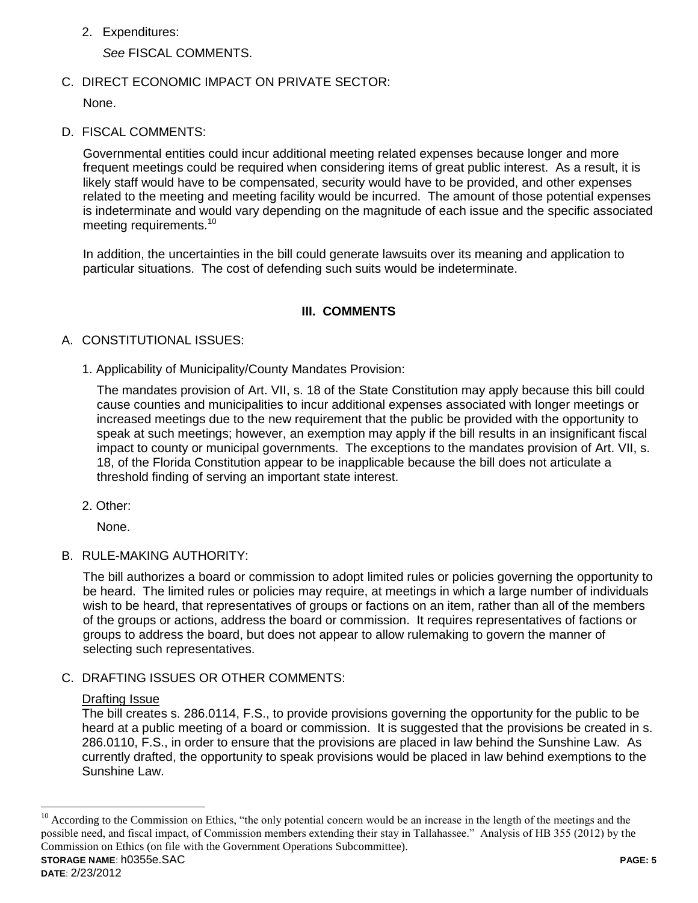2. Expenditures:

*See* FISCAL COMMENTS.

C. DIRECT ECONOMIC IMPACT ON PRIVATE SECTOR:

None.

D. FISCAL COMMENTS:

Governmental entities could incur additional meeting related expenses because longer and more frequent meetings could be required when considering items of great public interest. As a result, it is likely staff would have to be compensated, security would have to be provided, and other expenses related to the meeting and meeting facility would be incurred. The amount of those potential expenses is indeterminate and would vary depending on the magnitude of each issue and the specific associated meeting requirements.<sup>10</sup>

In addition, the uncertainties in the bill could generate lawsuits over its meaning and application to particular situations. The cost of defending such suits would be indeterminate.

# **III. COMMENTS**

# A. CONSTITUTIONAL ISSUES:

1. Applicability of Municipality/County Mandates Provision:

The mandates provision of Art. VII, s. 18 of the State Constitution may apply because this bill could cause counties and municipalities to incur additional expenses associated with longer meetings or increased meetings due to the new requirement that the public be provided with the opportunity to speak at such meetings; however, an exemption may apply if the bill results in an insignificant fiscal impact to county or municipal governments. The exceptions to the mandates provision of Art. VII, s. 18, of the Florida Constitution appear to be inapplicable because the bill does not articulate a threshold finding of serving an important state interest.

2. Other:

None.

B. RULE-MAKING AUTHORITY:

The bill authorizes a board or commission to adopt limited rules or policies governing the opportunity to be heard. The limited rules or policies may require, at meetings in which a large number of individuals wish to be heard, that representatives of groups or factions on an item, rather than all of the members of the groups or actions, address the board or commission. It requires representatives of factions or groups to address the board, but does not appear to allow rulemaking to govern the manner of selecting such representatives.

C. DRAFTING ISSUES OR OTHER COMMENTS:

## Drafting Issue

The bill creates s. 286.0114, F.S., to provide provisions governing the opportunity for the public to be heard at a public meeting of a board or commission. It is suggested that the provisions be created in s. 286.0110, F.S., in order to ensure that the provisions are placed in law behind the Sunshine Law. As currently drafted, the opportunity to speak provisions would be placed in law behind exemptions to the Sunshine Law.

 $\overline{a}$ 

**STORAGE NAME**: h0355e.SAC **PAGE: 5** <sup>10</sup> According to the Commission on Ethics, "the only potential concern would be an increase in the length of the meetings and the possible need, and fiscal impact, of Commission members extending their stay in Tallahassee." Analysis of HB 355 (2012) by the Commission on Ethics (on file with the Government Operations Subcommittee).